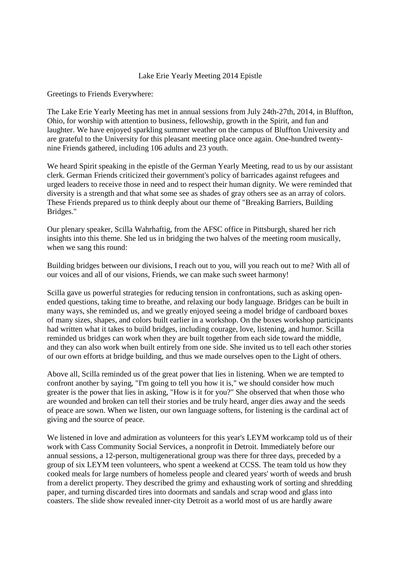## Lake Erie Yearly Meeting 2014 Epistle

Greetings to Friends Everywhere:

The Lake Erie Yearly Meeting has met in annual sessions from July 24th-27th, 2014, in Bluffton, Ohio, for worship with attention to business, fellowship, growth in the Spirit, and fun and laughter. We have enjoyed sparkling summer weather on the campus of Bluffton University and are grateful to the University for this pleasant meeting place once again. One-hundred twentynine Friends gathered, including 106 adults and 23 youth.

We heard Spirit speaking in the epistle of the German Yearly Meeting, read to us by our assistant clerk. German Friends criticized their government's policy of barricades against refugees and urged leaders to receive those in need and to respect their human dignity. We were reminded that diversity is a strength and that what some see as shades of gray others see as an array of colors. These Friends prepared us to think deeply about our theme of "Breaking Barriers, Building Bridges."

Our plenary speaker, Scilla Wahrhaftig, from the AFSC office in Pittsburgh, shared her rich insights into this theme. She led us in bridging the two halves of the meeting room musically, when we sang this round:

Building bridges between our divisions, I reach out to you, will you reach out to me? With all of our voices and all of our visions, Friends, we can make such sweet harmony!

Scilla gave us powerful strategies for reducing tension in confrontations, such as asking openended questions, taking time to breathe, and relaxing our body language. Bridges can be built in many ways, she reminded us, and we greatly enjoyed seeing a model bridge of cardboard boxes of many sizes, shapes, and colors built earlier in a workshop. On the boxes workshop participants had written what it takes to build bridges, including courage, love, listening, and humor. Scilla reminded us bridges can work when they are built together from each side toward the middle, and they can also work when built entirely from one side. She invited us to tell each other stories of our own efforts at bridge building, and thus we made ourselves open to the Light of others.

Above all, Scilla reminded us of the great power that lies in listening. When we are tempted to confront another by saying, "I'm going to tell you how it is," we should consider how much greater is the power that lies in asking, "How is it for you?" She observed that when those who are wounded and broken can tell their stories and be truly heard, anger dies away and the seeds of peace are sown. When we listen, our own language softens, for listening is the cardinal act of giving and the source of peace.

We listened in love and admiration as volunteers for this year's LEYM workcamp told us of their work with Cass Community Social Services, a nonprofit in Detroit. Immediately before our annual sessions, a 12-person, multigenerational group was there for three days, preceded by a group of six LEYM teen volunteers, who spent a weekend at CCSS. The team told us how they cooked meals for large numbers of homeless people and cleared years' worth of weeds and brush from a derelict property. They described the grimy and exhausting work of sorting and shredding paper, and turning discarded tires into doormats and sandals and scrap wood and glass into coasters. The slide show revealed inner-city Detroit as a world most of us are hardly aware